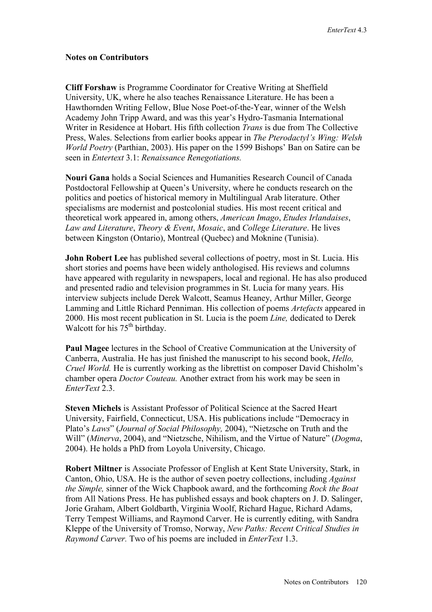## **Notes on Contributors**

**Cliff Forshaw** is Programme Coordinator for Creative Writing at Sheffield University, UK, where he also teaches Renaissance Literature. He has been a Hawthornden Writing Fellow, Blue Nose Poet-of-the-Year, winner of the Welsh Academy John Tripp Award, and was this year's Hydro-Tasmania International Writer in Residence at Hobart. His fifth collection *Trans* is due from The Collective Press, Wales. Selections from earlier books appear in *The Pterodactyl's Wing: Welsh World Poetry* (Parthian, 2003). His paper on the 1599 Bishops' Ban on Satire can be seen in *Entertext* 3.1: *Renaissance Renegotiations.* 

**Nouri Gana** holds a Social Sciences and Humanities Research Council of Canada Postdoctoral Fellowship at Queen's University, where he conducts research on the politics and poetics of historical memory in Multilingual Arab literature. Other specialisms are modernist and postcolonial studies. His most recent critical and theoretical work appeared in, among others, *American Imago*, *Etudes Irlandaises*, *Law and Literature*, *Theory & Event*, *Mosaic*, and *College Literature*. He lives between Kingston (Ontario), Montreal (Quebec) and Moknine (Tunisia).

**John Robert Lee** has published several collections of poetry, most in St. Lucia. His short stories and poems have been widely anthologised. His reviews and columns have appeared with regularity in newspapers, local and regional. He has also produced and presented radio and television programmes in St. Lucia for many years. His interview subjects include Derek Walcott, Seamus Heaney, Arthur Miller, George Lamming and Little Richard Penniman. His collection of poems *Artefacts* appeared in 2000. His most recent publication in St. Lucia is the poem *Line,* dedicated to Derek Walcott for his  $75<sup>th</sup>$  birthday.

**Paul Magee** lectures in the School of Creative Communication at the University of Canberra, Australia. He has just finished the manuscript to his second book, *Hello, Cruel World.* He is currently working as the librettist on composer David Chisholm's chamber opera *Doctor Couteau.* Another extract from his work may be seen in *EnterText* 2.3.

**Steven Michels** is Assistant Professor of Political Science at the Sacred Heart University, Fairfield, Connecticut, USA. His publications include "Democracy in Plato's *Laws*" (*Journal of Social Philosophy,* 2004), "Nietzsche on Truth and the Will" (*Minerva*, 2004), and "Nietzsche, Nihilism, and the Virtue of Nature" (*Dogma*, 2004). He holds a PhD from Loyola University, Chicago.

**Robert Miltner** is Associate Professor of English at Kent State University, Stark, in Canton, Ohio, USA. He is the author of seven poetry collections, including *Against the Simple,* sinner of the Wick Chapbook award, and the forthcoming *Rock the Boat*  from All Nations Press. He has published essays and book chapters on J. D. Salinger, Jorie Graham, Albert Goldbarth, Virginia Woolf, Richard Hague, Richard Adams, Terry Tempest Williams, and Raymond Carver. He is currently editing, with Sandra Kleppe of the University of Tromso, Norway, *New Paths: Recent Critical Studies in Raymond Carver.* Two of his poems are included in *EnterText* 1.3.